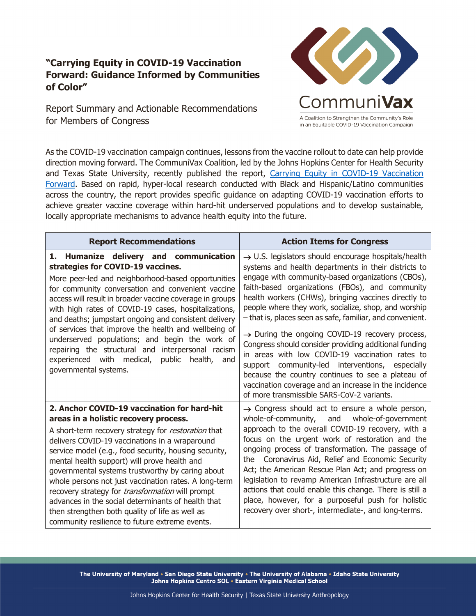## **"Carrying Equity in COVID-19 Vaccination Forward: Guidance Informed by Communities of Color"**

Report Summary and Actionable Recommendations for Members of Congress



As the COVID-19 vaccination campaign continues, lessons from the vaccine rollout to date can help provide direction moving forward. The CommuniVax Coalition, led by the Johns Hopkins Center for Health Security and Texas State University, recently published the report, Carrying Equity in COVID-19 Vaccination Forward. Based on rapid, hyper-local research conducted with Black and Hispanic/Latino communities across the country, the report provides specific guidance on adapting COVID-19 vaccination efforts to achieve greater vaccine coverage within hard-hit underserved populations and to develop sustainable, locally appropriate mechanisms to advance health equity into the future.

| <b>Report Recommendations</b>                                                                                                                                                                                                                                                                                                                                                                                                                                                                                                                                                                                                      | <b>Action Items for Congress</b>                                                                                                                                                                                                                                                                                                                                                                                                                                                                                                                                                                                                                                                                                                                                                                        |
|------------------------------------------------------------------------------------------------------------------------------------------------------------------------------------------------------------------------------------------------------------------------------------------------------------------------------------------------------------------------------------------------------------------------------------------------------------------------------------------------------------------------------------------------------------------------------------------------------------------------------------|---------------------------------------------------------------------------------------------------------------------------------------------------------------------------------------------------------------------------------------------------------------------------------------------------------------------------------------------------------------------------------------------------------------------------------------------------------------------------------------------------------------------------------------------------------------------------------------------------------------------------------------------------------------------------------------------------------------------------------------------------------------------------------------------------------|
| 1. Humanize delivery and communication<br>strategies for COVID-19 vaccines.<br>More peer-led and neighborhood-based opportunities<br>for community conversation and convenient vaccine<br>access will result in broader vaccine coverage in groups<br>with high rates of COVID-19 cases, hospitalizations,<br>and deaths; jumpstart ongoing and consistent delivery<br>of services that improve the health and wellbeing of<br>underserved populations; and begin the work of<br>repairing the structural and interpersonal racism<br>experienced with medical,<br>public<br>health,<br>and<br>governmental systems.               | $\rightarrow$ U.S. legislators should encourage hospitals/health<br>systems and health departments in their districts to<br>engage with community-based organizations (CBOs),<br>faith-based organizations (FBOs), and community<br>health workers (CHWs), bringing vaccines directly to<br>people where they work, socialize, shop, and worship<br>- that is, places seen as safe, familiar, and convenient.<br>$\rightarrow$ During the ongoing COVID-19 recovery process,<br>Congress should consider providing additional funding<br>in areas with low COVID-19 vaccination rates to<br>support community-led interventions, especially<br>because the country continues to see a plateau of<br>vaccination coverage and an increase in the incidence<br>of more transmissible SARS-CoV-2 variants. |
| 2. Anchor COVID-19 vaccination for hard-hit<br>areas in a holistic recovery process.<br>A short-term recovery strategy for restoration that<br>delivers COVID-19 vaccinations in a wraparound<br>service model (e.g., food security, housing security,<br>mental health support) will prove health and<br>governmental systems trustworthy by caring about<br>whole persons not just vaccination rates. A long-term<br>recovery strategy for transformation will prompt<br>advances in the social determinants of health that<br>then strengthen both quality of life as well as<br>community resilience to future extreme events. | $\rightarrow$ Congress should act to ensure a whole person,<br>whole-of-community,<br>and<br>whole-of-government<br>approach to the overall COVID-19 recovery, with a<br>focus on the urgent work of restoration and the<br>ongoing process of transformation. The passage of<br>Coronavirus Aid, Relief and Economic Security<br>the<br>Act; the American Rescue Plan Act; and progress on<br>legislation to revamp American Infrastructure are all<br>actions that could enable this change. There is still a<br>place, however, for a purposeful push for holistic<br>recovery over short-, intermediate-, and long-terms.                                                                                                                                                                           |

The University of Maryland . San Diego State University . The University of Alabama . Idaho State University Johns Hopkins Centro SOL . Eastern Virginia Medical School